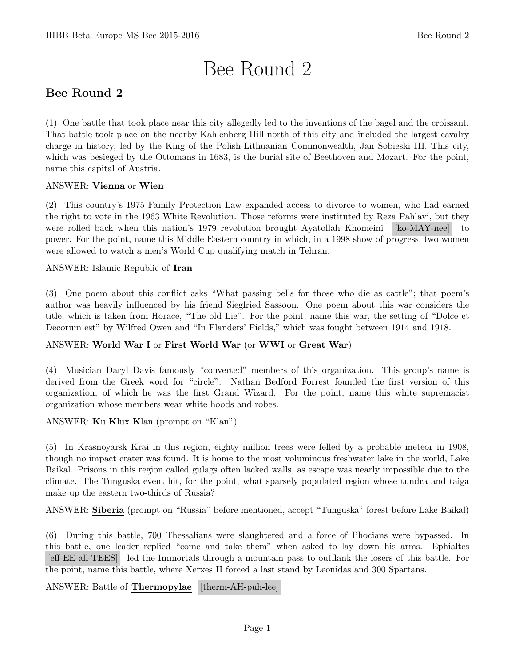# Bee Round 2

# Bee Round 2

(1) One battle that took place near this city allegedly led to the inventions of the bagel and the croissant. That battle took place on the nearby Kahlenberg Hill north of this city and included the largest cavalry charge in history, led by the King of the Polish-Lithuanian Commonwealth, Jan Sobieski III. This city, which was besieged by the Ottomans in 1683, is the burial site of Beethoven and Mozart. For the point, name this capital of Austria.

## ANSWER: Vienna or Wien

(2) This country's 1975 Family Protection Law expanded access to divorce to women, who had earned the right to vote in the 1963 White Revolution. Those reforms were instituted by Reza Pahlavi, but they were rolled back when this nation's 1979 revolution brought Ayatollah Khomeini [ko-MAY-nee] to power. For the point, name this Middle Eastern country in which, in a 1998 show of progress, two women were allowed to watch a men's World Cup qualifying match in Tehran.

## ANSWER: Islamic Republic of Iran

(3) One poem about this conflict asks "What passing bells for those who die as cattle"; that poem's author was heavily influenced by his friend Siegfried Sassoon. One poem about this war considers the title, which is taken from Horace, "The old Lie". For the point, name this war, the setting of "Dolce et Decorum est" by Wilfred Owen and "In Flanders' Fields," which was fought between 1914 and 1918.

## ANSWER: World War I or First World War (or WWI or Great War)

(4) Musician Daryl Davis famously "converted" members of this organization. This group's name is derived from the Greek word for "circle". Nathan Bedford Forrest founded the first version of this organization, of which he was the first Grand Wizard. For the point, name this white supremacist organization whose members wear white hoods and robes.

## ANSWER: Ku Klux Klan (prompt on "Klan")

(5) In Krasnoyarsk Krai in this region, eighty million trees were felled by a probable meteor in 1908, though no impact crater was found. It is home to the most voluminous freshwater lake in the world, Lake Baikal. Prisons in this region called gulags often lacked walls, as escape was nearly impossible due to the climate. The Tunguska event hit, for the point, what sparsely populated region whose tundra and taiga make up the eastern two-thirds of Russia?

ANSWER: Siberia (prompt on "Russia" before mentioned, accept "Tunguska" forest before Lake Baikal)

(6) During this battle, 700 Thessalians were slaughtered and a force of Phocians were bypassed. In this battle, one leader replied "come and take them" when asked to lay down his arms. Ephialtes [eff-EE-all-TEES] led the Immortals through a mountain pass to outflank the losers of this battle. For the point, name this battle, where Xerxes II forced a last stand by Leonidas and 300 Spartans.

ANSWER: Battle of **Thermopylae** [therm-AH-puh-lee]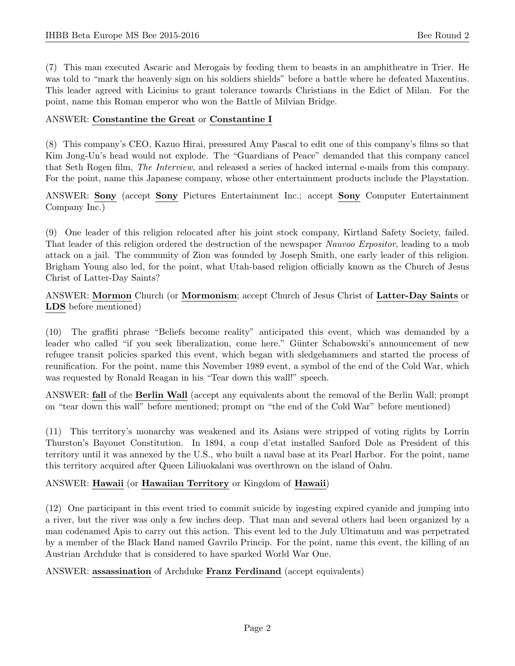(7) This man executed Ascaric and Merogais by feeding them to beasts in an amphitheatre in Trier. He was told to "mark the heavenly sign on his soldiers shields" before a battle where he defeated Maxentius. This leader agreed with Licinius to grant tolerance towards Christians in the Edict of Milan. For the point, name this Roman emperor who won the Battle of Milvian Bridge.

#### ANSWER: Constantine the Great or Constantine I

(8) This company's CEO, Kazuo Hirai, pressured Amy Pascal to edit one of this company's films so that Kim Jong-Un's head would not explode. The "Guardians of Peace" demanded that this company cancel that Seth Rogen film, The Interview, and released a series of hacked internal e-mails from this company. For the point, name this Japanese company, whose other entertainment products include the Playstation.

ANSWER: Sony (accept Sony Pictures Entertainment Inc.; accept Sony Computer Entertainment Company Inc.)

(9) One leader of this religion relocated after his joint stock company, Kirtland Safety Society, failed. That leader of this religion ordered the destruction of the newspaper Nauvoo Expositor, leading to a mob attack on a jail. The community of Zion was founded by Joseph Smith, one early leader of this religion. Brigham Young also led, for the point, what Utah-based religion officially known as the Church of Jesus Christ of Latter-Day Saints?

ANSWER: Mormon Church (or Mormonism; accept Church of Jesus Christ of Latter-Day Saints or LDS before mentioned)

(10) The graffiti phrase "Beliefs become reality" anticipated this event, which was demanded by a leader who called "if you seek liberalization, come here." Günter Schabowski's announcement of new refugee transit policies sparked this event, which began with sledgehammers and started the process of reunification. For the point, name this November 1989 event, a symbol of the end of the Cold War, which was requested by Ronald Reagan in his "Tear down this wall!" speech.

ANSWER: fall of the Berlin Wall (accept any equivalents about the removal of the Berlin Wall; prompt on "tear down this wall" before mentioned; prompt on "the end of the Cold War" before mentioned)

(11) This territory's monarchy was weakened and its Asians were stripped of voting rights by Lorrin Thurston's Bayonet Constitution. In 1894, a coup d'etat installed Sanford Dole as President of this territory until it was annexed by the U.S., who built a naval base at its Pearl Harbor. For the point, name this territory acquired after Queen Liliuokalani was overthrown on the island of Oahu.

## ANSWER: Hawaii (or Hawaiian Territory or Kingdom of Hawaii)

(12) One participant in this event tried to commit suicide by ingesting expired cyanide and jumping into a river, but the river was only a few inches deep. That man and several others had been organized by a man codenamed Apis to carry out this action. This event led to the July Ultimatum and was perpetrated by a member of the Black Hand named Gavrilo Princip. For the point, name this event, the killing of an Austrian Archduke that is considered to have sparked World War One.

#### ANSWER: assassination of Archduke Franz Ferdinand (accept equivalents)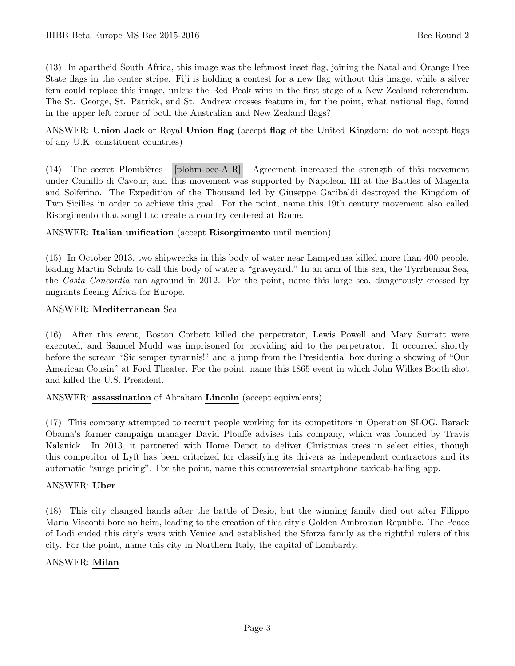(13) In apartheid South Africa, this image was the leftmost inset flag, joining the Natal and Orange Free State flags in the center stripe. Fiji is holding a contest for a new flag without this image, while a silver fern could replace this image, unless the Red Peak wins in the first stage of a New Zealand referendum. The St. George, St. Patrick, and St. Andrew crosses feature in, for the point, what national flag, found in the upper left corner of both the Australian and New Zealand flags?

ANSWER: Union Jack or Royal Union flag (accept flag of the United Kingdom; do not accept flags of any U.K. constituent countries)

(14) The secret Plombi`eres [plohm-bee-AIR] Agreement increased the strength of this movement under Camillo di Cavour, and this movement was supported by Napoleon III at the Battles of Magenta and Solferino. The Expedition of the Thousand led by Giuseppe Garibaldi destroyed the Kingdom of Two Sicilies in order to achieve this goal. For the point, name this 19th century movement also called Risorgimento that sought to create a country centered at Rome.

#### ANSWER: Italian unification (accept Risorgimento until mention)

(15) In October 2013, two shipwrecks in this body of water near Lampedusa killed more than 400 people, leading Martin Schulz to call this body of water a "graveyard." In an arm of this sea, the Tyrrhenian Sea, the Costa Concordia ran aground in 2012. For the point, name this large sea, dangerously crossed by migrants fleeing Africa for Europe.

#### ANSWER: Mediterranean Sea

(16) After this event, Boston Corbett killed the perpetrator, Lewis Powell and Mary Surratt were executed, and Samuel Mudd was imprisoned for providing aid to the perpetrator. It occurred shortly before the scream "Sic semper tyrannis!" and a jump from the Presidential box during a showing of "Our American Cousin" at Ford Theater. For the point, name this 1865 event in which John Wilkes Booth shot and killed the U.S. President.

#### ANSWER: assassination of Abraham Lincoln (accept equivalents)

(17) This company attempted to recruit people working for its competitors in Operation SLOG. Barack Obama's former campaign manager David Plouffe advises this company, which was founded by Travis Kalanick. In 2013, it partnered with Home Depot to deliver Christmas trees in select cities, though this competitor of Lyft has been criticized for classifying its drivers as independent contractors and its automatic "surge pricing". For the point, name this controversial smartphone taxicab-hailing app.

#### ANSWER: Uber

(18) This city changed hands after the battle of Desio, but the winning family died out after Filippo Maria Visconti bore no heirs, leading to the creation of this city's Golden Ambrosian Republic. The Peace of Lodi ended this city's wars with Venice and established the Sforza family as the rightful rulers of this city. For the point, name this city in Northern Italy, the capital of Lombardy.

#### ANSWER: Milan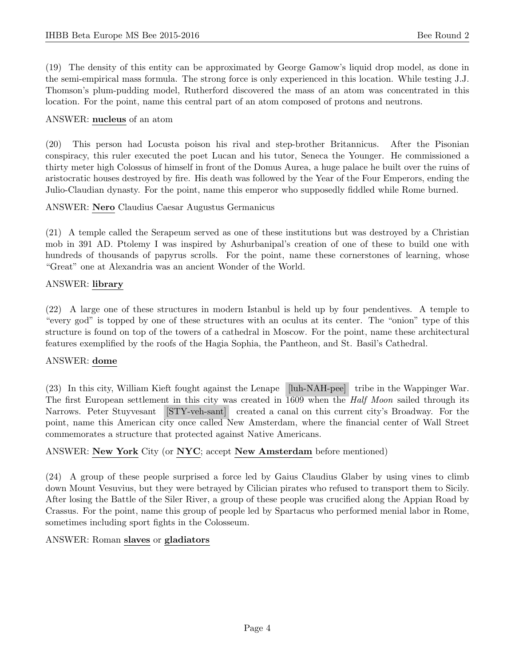(19) The density of this entity can be approximated by George Gamow's liquid drop model, as done in the semi-empirical mass formula. The strong force is only experienced in this location. While testing J.J. Thomson's plum-pudding model, Rutherford discovered the mass of an atom was concentrated in this location. For the point, name this central part of an atom composed of protons and neutrons.

#### ANSWER: nucleus of an atom

(20) This person had Locusta poison his rival and step-brother Britannicus. After the Pisonian conspiracy, this ruler executed the poet Lucan and his tutor, Seneca the Younger. He commissioned a thirty meter high Colossus of himself in front of the Domus Aurea, a huge palace he built over the ruins of aristocratic houses destroyed by fire. His death was followed by the Year of the Four Emperors, ending the Julio-Claudian dynasty. For the point, name this emperor who supposedly fiddled while Rome burned.

ANSWER: Nero Claudius Caesar Augustus Germanicus

(21) A temple called the Serapeum served as one of these institutions but was destroyed by a Christian mob in 391 AD. Ptolemy I was inspired by Ashurbanipal's creation of one of these to build one with hundreds of thousands of papyrus scrolls. For the point, name these cornerstones of learning, whose "Great" one at Alexandria was an ancient Wonder of the World.

#### ANSWER: library

(22) A large one of these structures in modern Istanbul is held up by four pendentives. A temple to "every god" is topped by one of these structures with an oculus at its center. The "onion" type of this structure is found on top of the towers of a cathedral in Moscow. For the point, name these architectural features exemplified by the roofs of the Hagia Sophia, the Pantheon, and St. Basil's Cathedral.

## ANSWER: dome

(23) In this city, William Kieft fought against the Lenape [luh-NAH-pee] tribe in the Wappinger War. The first European settlement in this city was created in 1609 when the *Half Moon* sailed through its Narrows. Peter Stuyvesant [STY-veh-sant] created a canal on this current city's Broadway. For the point, name this American city once called New Amsterdam, where the financial center of Wall Street commemorates a structure that protected against Native Americans.

## ANSWER: New York City (or NYC; accept New Amsterdam before mentioned)

(24) A group of these people surprised a force led by Gaius Claudius Glaber by using vines to climb down Mount Vesuvius, but they were betrayed by Cilician pirates who refused to transport them to Sicily. After losing the Battle of the Siler River, a group of these people was crucified along the Appian Road by Crassus. For the point, name this group of people led by Spartacus who performed menial labor in Rome, sometimes including sport fights in the Colosseum.

#### ANSWER: Roman slaves or gladiators